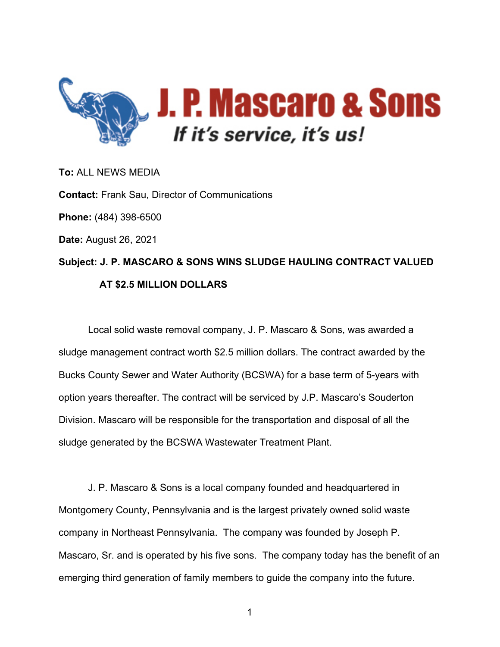

**To:** ALL NEWS MEDIA **Contact:** Frank Sau, Director of Communications **Phone:** (484) 398-6500 **Date:** August 26, 2021 **Subject: J. P. MASCARO & SONS WINS SLUDGE HAULING CONTRACT VALUED AT \$2.5 MILLION DOLLARS**

Local solid waste removal company, J. P. Mascaro & Sons, was awarded a sludge management contract worth \$2.5 million dollars. The contract awarded by the Bucks County Sewer and Water Authority (BCSWA) for a base term of 5-years with option years thereafter. The contract will be serviced by J.P. Mascaro's Souderton Division. Mascaro will be responsible for the transportation and disposal of all the sludge generated by the BCSWA Wastewater Treatment Plant.

J. P. Mascaro & Sons is a local company founded and headquartered in Montgomery County, Pennsylvania and is the largest privately owned solid waste company in Northeast Pennsylvania. The company was founded by Joseph P. Mascaro, Sr. and is operated by his five sons. The company today has the benefit of an emerging third generation of family members to guide the company into the future.

1